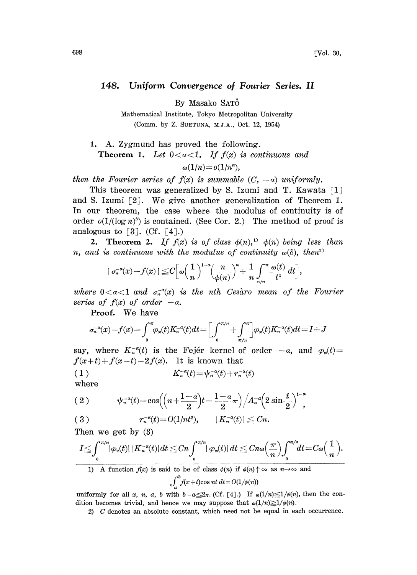## 148. Uniform Convergence of Fourier Series. II

By Masako SAT

Mathematical Institute, Tokyo Metropolitan University (Comm. by Z. SUETUNA, M.J.A., Oct. 12, 1954)

1. A. Zygmund has proved the following. **Theorem 1.** Let  $0 < \alpha < 1$ , If  $f(x)$  is continuous and  $\omega(1/n) = o(1/n^{\alpha}),$ 

then the Fourier series of  $f(x)$  is summable  $(C, -a)$  uniformly.

This theorem was generalized by S. Izumi and T. Kawata  $[1]$ and S. Izumi  $[2]$ . We give another generalization of Theorem 1. In our theorem, the case where the modulus of continuity is of order  $o(1/(\log n)^{\beta})$  is contained. (See Cor. 2.) The method of proof is analogous to  $\lceil 3 \rceil$ . (Cf.  $\lceil 4 \rceil$ .)

**2.** Theorem 2. If  $f(x)$  is of class  $\phi(n)$ ,  $\phi(n)$  being less than n, and is continuous with the modulus of continuity  $\omega(\delta)$ , then<sup>2)</sup>

$$
| \sigma_n^{-a}(x) - f(x) | \leq C \left[ \omega \left( \frac{1}{n} \right)^{1-a} \left( \frac{n}{\phi(n)} \right)^a + \frac{1}{n} \int_{\pi/n}^{\pi} \frac{\omega(t)}{t^2} dt \right],
$$

where  $0 < \alpha < 1$  and  $\sigma_n^{-\alpha}(x)$  is the nth Cesaro mean of the Fourier series of  $f(x)$  of order  $-a$ .

Proof. We have

$$
\sigma_n^{-\alpha}(x) - f(x) = \int_0^{\pi} \varphi_x(t) K_n^{-\alpha}(t) dt = \left[ \int_0^{\pi/n} + \int_{\pi/n}^{\pi} \right] \varphi_x(t) K_n^{-\alpha}(t) dt = I + J
$$

say, where  $K_n^{-\alpha}(t)$  is the Fejér kernel of order  $-\alpha$ , and  $\varphi_x(t) =$  $f(x+t)+f(x-t)-2f(x)$ . It is known that

$$
(1) \t K_n^{-\alpha}(t) = \psi_n^{-\alpha}(t) + r_n^{-\alpha}(t)
$$

where

$$
(2) \t\t \psi_{n}^{-a}(t)=\cos\left(\left(n+\frac{1-a}{2}\right)t-\frac{1-a}{2}\pi\right)\Big/A_{n}^{-a}\left(2\sin\frac{t}{2}\right)^{1-a},
$$

$$
(3) \t\t\t r_n^{-\alpha}(t) = O(1/nt^2), \t\t |K_n^{-\alpha}(t)| \leq Cn.
$$

Then we get by (3)

$$
I \leq \int_0^{\pi/n} |\varphi_x(t)| |K_n^{-\alpha}(t)| dt \leq Cn \int_0^{\pi/n} |\varphi_x(t)| dt \leq Cn\omega \left(\frac{\pi}{n}\right) \int_0^{\pi/n} dt = C\omega \left(\frac{1}{n}\right).
$$

1) A function  $f(x)$  is said to be of class  $\phi(n)$  if  $\phi(n) \uparrow \infty$  as  $n \to \infty$  and  $\int_{a}^{b} f(x+t) \cos nt \, dt = O(1/\phi(n))$ 

uniformly for all x, n, a, b with  $b-a\leq 2\pi$ . (Cf. [4].) If  $\alpha(1/n)\leq 1/\phi(n)$ , then the condition becomes trivial, and hence we may suppose that  $\omega(1/n) \geq 1/\phi(n)$ .

2) C denotes an absolute constant, which need not be equal in each occurrence.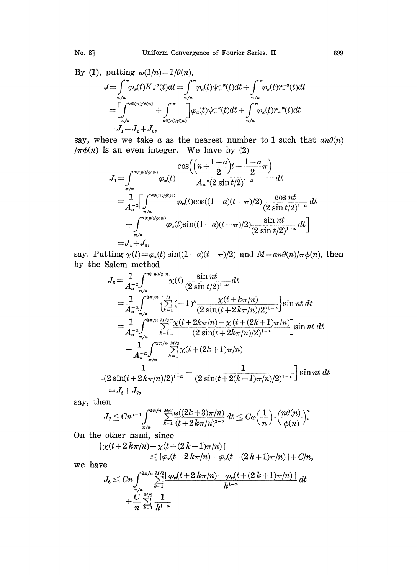Uniform Convergence of Fourier Series. II

By (1), putting 
$$
\omega(1/n) = 1/\theta(n)
$$
,  
\n
$$
J = \int_{\pi/n}^{\pi} \varphi_x(t) K_n^{-\alpha}(t) dt = \int_{\pi/n}^{\pi} \varphi_x(t) \psi_n^{-\alpha}(t) dt + \int_{\pi/n}^{\pi} \varphi_x(t) r_n^{-\alpha}(t) dt
$$
\n
$$
= \left[ \int_{\pi/n}^{\alpha\theta(n)/\phi(n)} + \int_{\alpha\theta(n)/\phi(n)}^{\pi} \varphi_x(t) \psi_n^{-\alpha}(t) dt + \int_{\pi/n}^{\pi} \varphi_x(t) r_n^{-\alpha}(t) dt \right]
$$
\n
$$
= J_1 + J_2 + J_3,
$$

say, where we take  $a$  as the nearest number to 1 such that  $an\theta(n)$  $/\pi\phi(n)$  is an even integer. We have by (2)

$$
J_1 = \int_{\pi/n}^{a_0(n)/\phi(n)} \varphi_x(t) \frac{\cos((n + \frac{1-\alpha}{2})t - \frac{1-\alpha}{2}\pi)}{A_{n}^{-a}(2\sin t/2)^{1-a}} dt
$$
  
\n
$$
= \frac{1}{A_{n}^{-a}} \Biggl[ \int_{\pi/n}^{a_0(n)/\phi(n)} \varphi_x(t) \cos((1-a)(t-\pi)/2) \frac{\cos nt}{(2\sin t/2)^{1-a}} dt
$$
  
\n
$$
+ \int_{\pi/n}^{a_0(n)/\phi(n)} \varphi_x(t) \sin((1-a)(t-\pi)/2) \frac{\sin nt}{(2\sin t/2)^{1-a}} dt \Biggr]
$$
  
\n
$$
= J_4 + J_5,
$$

say. Putting  $\chi(t) = \varphi_x(t) \sin((1-\alpha)(t-\pi)/2)$  and  $M = an\theta(n)/\pi\phi(n)$ , then by the Salem method

$$
J_{5} = \frac{1}{A_{n}} \int_{\pi/n}^{\alpha 0(\pi)/\phi(n)} \chi(t) \frac{\sin nt}{(2 \sin t/2)^{1-\alpha}} dt
$$
  
\n
$$
= \frac{1}{A_{n}} \int_{\pi/n}^{2\pi/n} \left\{ \sum_{k=1}^{M} (-1)^{k} \frac{\chi(t + k\pi/n)}{(2 \sin(t + 2k\pi/n)/2)^{1-\alpha}} \right\} \sin nt dt
$$
  
\n
$$
= \frac{1}{A_{n}} \int_{\pi/n}^{2\pi/n} \sum_{k=1}^{M/2} \left[ \frac{\chi(t + 2k\pi/n) - \chi(t + (2k+1)\pi/n)}{(2 \sin(t + 2k\pi/n)/2)^{1-\alpha}} \right] \sin nt dt
$$
  
\n
$$
+ \frac{1}{A_{n}} \int_{\pi/n}^{2\pi/n} \sum_{k=1}^{M/2} \chi(t + (2k+1)\pi/n)
$$
  
\n
$$
\frac{1}{(2 \sin(t + 2k\pi/n)/2)^{1-\alpha}} - \frac{1}{(2 \sin(t + 2(k+1)\pi/n)/2)^{1-\alpha}} \right] \sin nt dt
$$
  
\n
$$
= J_{6} + J_{7},
$$

say, then

$$
J_{7} \leq C n^{a-1} \int_{\pi/n}^{2\pi/n} \sum_{k=1}^{M/2} \frac{\omega((2k+3)\pi/n)}{(t+2k\pi/n)^{2-a}} dt \leq C \omega \Big(\frac{1}{n}\Big) \cdot \Big(\frac{n \theta(n)}{\phi(n)}\Big)^{a}.
$$

On the other hand, since

$$
|\chi(t+2\,k\pi/n)-\chi(t+(2\,k+1)\pi/n)|
$$
  
\n
$$
\leq |\varphi_x(t+2\,k\pi/n)-\varphi_x(t+(2\,k+1)\pi/n)|+C/n,
$$

we have

$$
J_{6} \leq C n \int_{\pi/n}^{2\pi/n} \sum_{k=1}^{M/2} \frac{|\varphi_{x}(t+2 k\pi/n) - \varphi_{x}(t+(2 k+1)\pi/n)|}{k^{1-\alpha}} dt + \frac{C}{n} \sum_{k=1}^{M/2} \frac{1}{k^{1-\alpha}}
$$

699

No. 8]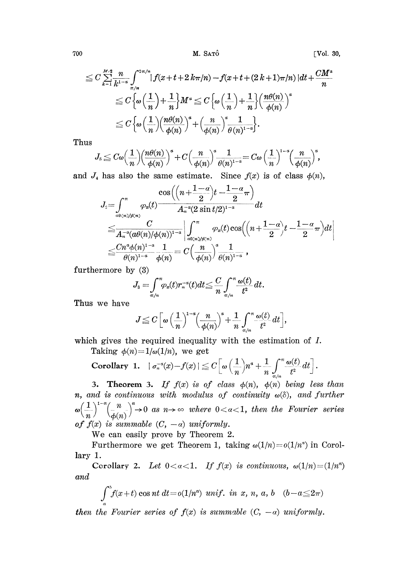700 M. SATÔ M. SATÔ

$$
\leq C \sum_{k=1}^{M/2} \frac{n}{k^{1-\alpha}} \int_{\pi/n}^{2\pi/n} \left| f(x+t+2 k\pi/n) - f(x+t+(2 k+1)\pi/n) \right| dt + \frac{CM^{\alpha}}{n}
$$
  

$$
\leq C \left\{ \omega \left( \frac{1}{n} \right) + \frac{1}{n} \right\} M^{\alpha} \leq C \left\{ \omega \left( \frac{1}{n} \right) + \frac{1}{n} \right\} \left( \frac{n\theta(n)}{\phi(n)} \right)^{\alpha}
$$
  

$$
\leq C \left\{ \omega \left( \frac{1}{n} \right) \left( \frac{n\theta(n)}{\phi(n)} \right)^{\alpha} + \left( \frac{n}{\phi(n)} \right)^{\alpha} \frac{1}{\theta(n)^{1-\alpha}} \right\}.
$$

Thus

$$
J_{\delta} \leq C\omega \Big(\frac{1}{n}\Big) \Big(\frac{n\theta(n)}{\phi(n)}\Big)^{\alpha} + C\Big(\frac{n}{\phi(n)}\Big)^{\alpha} \frac{1}{\theta(n)^{1-\alpha}} = C\omega \Big(\frac{1}{n}\Big)^{1-\alpha} \Big(\frac{n}{\phi(n)}\Big)^{\alpha},
$$
  
*I<sub>4</sub>* has also the same estimate. Since  $f(x)$  is of class  $\phi(n)$   

$$
\cos \Big(\Big(n + \frac{1-\alpha}{2}\Big)t - \frac{1-\alpha}{2}\pi\Big)
$$

and  $J_4$  has also the same estimate. Since  $f(x)$  is of class  $\phi(n)$ ,

$$
\begin{aligned} &J_2\hspace{-0.5ex}=\hspace{-0.5ex}\int_{\alpha_0(n)/\rho(n)}^\pi \hspace{-0.5ex} \frac{\cos\left(\hspace{-0.5ex}\left(n+\frac{1-\alpha}{2}\right)t-\frac{1-\alpha}{2}\pi\right)}{A_n^{-\alpha}(2\sin t/2)^{1-\alpha}}dt \\ &\leq& \frac{C}{A_n^{-\alpha}(a\theta(n)/\phi(n))^{1-\alpha}}\left|\int_{\frac{a_0(n)/\rho(n)}{a_0(n)/\rho(n)}}^\pi \varphi_x(t)\cos\hspace{-0.5ex}\left(\hspace{-0.5ex}\left(n+\frac{1-\alpha}{2}\right)t-\frac{1-\alpha}{2}\pi\right)dt\right| \\ &\leq& \frac{Cn^\alpha\phi(n)^{1-\alpha}}{\theta(n)^{1-\alpha}}\frac{1}{\phi(n)}=C\hspace{-0.5ex}\left(\frac{n}{\phi(n)}\right)^{\alpha}\hspace{-0.5ex}\frac{1}{\theta(n)^{1-\alpha}}\,, \end{aligned}
$$

furthermore by (3)

$$
J_3=\int_{\pi/n}^{\pi}\varphi_x(t)r_n^{-a}(t)dt\leq \frac{C}{n}\int_{\pi/n}^{\pi}\frac{\omega(t)}{t^2}dt.
$$

Thus we have

$$
J\!\leq C\Big[\omega\,\Big(\frac{1}{n}\Big)^{1-a}\!\Big(\frac{n}{\phi(n)}\Big)^{\!a}+\frac{1}{n}\int_{\pi/n}^\pi\!\frac{\omega(t)}{t^2}\,dt\Big],
$$

which gives the required inequality with the estimation of I.

Taking  $\phi(n) = 1/\omega(1/n)$ , we get

Corollary 1. 
$$
|\sigma_n^{-a}(x)-f(x)| \leq C \left[ \omega \left( \frac{1}{n} \right) n^a + \frac{1}{n} \int_{\pi/n}^{\pi} \frac{\omega(t)}{t^2} dt \right].
$$

3. Theorem 3. If  $f(x)$  is of class  $\phi(n)$ ,  $\phi(n)$  being less than n, and is continuous with modulus of continuity  $\omega(\delta)$ , and further  $\omega\left(\frac{1}{n}\right)^{1-\alpha}\left(\frac{n}{\phi(n)}\right)^{\alpha}\to 0$  as  $n\to\infty$  where  $0<\alpha<1$ , then the Fourier series of  $f(x)$  is summable  $(C, -a)$  uniformly.

We can easily prove by Theorem 2.

Furthermore we get Theorem 1, taking  $\omega(1/n)=o(1/n^3)$  in Corollary 1.

Corollary 2. Let  $0 < \alpha < 1$ . If  $f(x)$  is continuous,  $\omega(1/n) = (1/n^{\alpha})$ and

$$
\int_a^b f(x+t) \cos nt \, dt = o(1/n^{\alpha}) \, \text{unif. in } x, n, a, b \quad (b-a \leq 2\pi)
$$

then the Fourier series of  $f(x)$  is summable  $(C, -\alpha)$  uniformly.